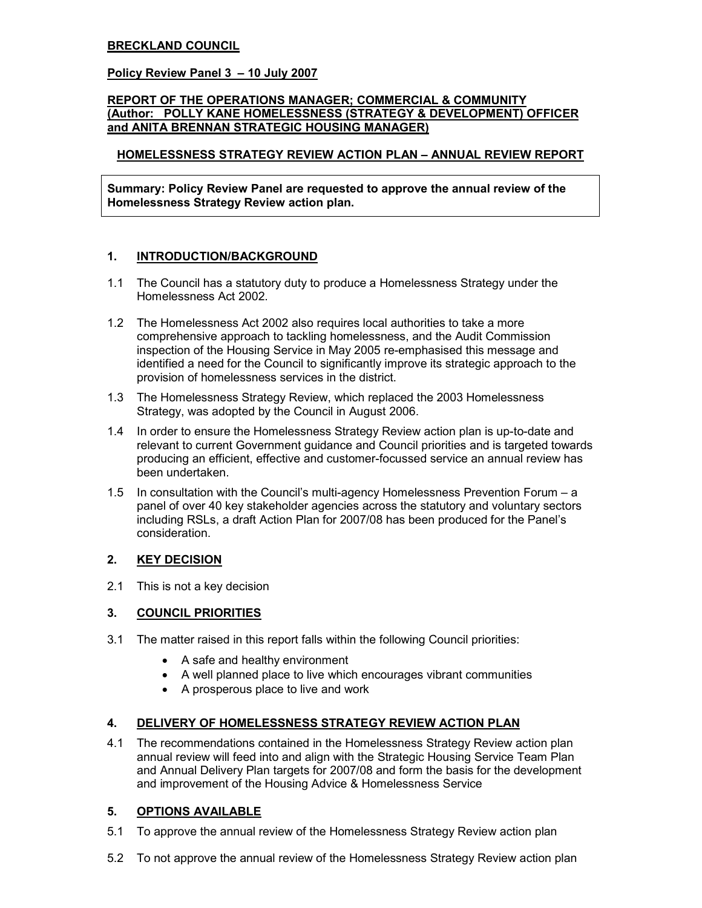#### BRECKLAND COUNCIL

#### Policy Review Panel 3 – 10 July 2007

#### REPORT OF THE OPERATIONS MANAGER; COMMERCIAL & COMMUNITY (Author: POLLY KANE HOMELESSNESS (STRATEGY & DEVELOPMENT) OFFICER and ANITA BRENNAN STRATEGIC HOUSING MANAGER)

## HOMELESSNESS STRATEGY REVIEW ACTION PLAN – ANNUAL REVIEW REPORT

Summary: Policy Review Panel are requested to approve the annual review of the Homelessness Strategy Review action plan.

## 1. INTRODUCTION/BACKGROUND

- 1.1 The Council has a statutory duty to produce a Homelessness Strategy under the Homelessness Act 2002.
- 1.2 The Homelessness Act 2002 also requires local authorities to take a more comprehensive approach to tackling homelessness, and the Audit Commission inspection of the Housing Service in May 2005 re-emphasised this message and identified a need for the Council to significantly improve its strategic approach to the provision of homelessness services in the district.
- 1.3 The Homelessness Strategy Review, which replaced the 2003 Homelessness Strategy, was adopted by the Council in August 2006.
- 1.4 In order to ensure the Homelessness Strategy Review action plan is up-to-date and relevant to current Government guidance and Council priorities and is targeted towards producing an efficient, effective and customer-focussed service an annual review has been undertaken.
- 1.5 In consultation with the Council's multi-agency Homelessness Prevention Forum a panel of over 40 key stakeholder agencies across the statutory and voluntary sectors including RSLs, a draft Action Plan for 2007/08 has been produced for the Panel's consideration.

## 2. KEY DECISION

2.1 This is not a key decision

## 3. COUNCIL PRIORITIES

- 3.1 The matter raised in this report falls within the following Council priorities:
	- A safe and healthy environment
	- A well planned place to live which encourages vibrant communities
	- A prosperous place to live and work

## 4. DELIVERY OF HOMELESSNESS STRATEGY REVIEW ACTION PLAN

4.1 The recommendations contained in the Homelessness Strategy Review action plan annual review will feed into and align with the Strategic Housing Service Team Plan and Annual Delivery Plan targets for 2007/08 and form the basis for the development and improvement of the Housing Advice & Homelessness Service

## 5. OPTIONS AVAILABLE

- 5.1 To approve the annual review of the Homelessness Strategy Review action plan
- 5.2 To not approve the annual review of the Homelessness Strategy Review action plan